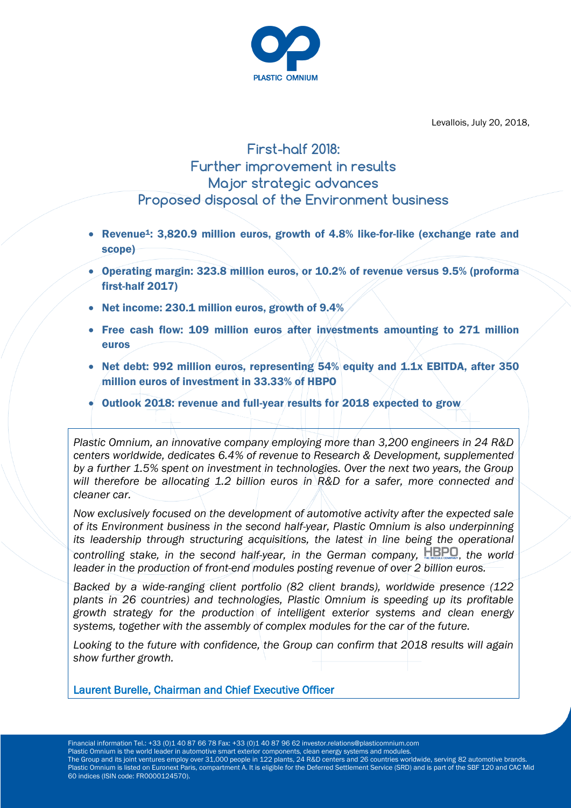

Levallois, July 20, 2018,

# **First-half 2018: Further improvement in results Major strategic advances Proposed disposal of the Environment business**

- Revenue<sup>1</sup>: 3,820.9 million euros, growth of 4.8% like-for-like (exchange rate and scope)
- Operating margin: 323.8 million euros, or 10.2% of revenue versus 9.5% (proforma first-half 2017)
- Net income: 230.1 million euros, growth of 9.4%
- Free cash flow: 109 million euros after investments amounting to 271 million euros
- Net debt: 992 million euros, representing 54% equity and 1.1x EBITDA, after 350 million euros of investment in 33.33% of HBPO
- Outlook 2018: revenue and full-year results for 2018 expected to grow

*Plastic Omnium, an innovative company employing more than 3,200 engineers in 24 R&D centers worldwide, dedicates 6.4% of revenue to Research & Development, supplemented by a further 1.5% spent on investment in technologies. Over the next two years, the Group will therefore be allocating 1.2 billion euros in R&D for a safer, more connected and cleaner car.*

*Now exclusively focused on the development of automotive activity after the expected sale of its Environment business in the second half-year, Plastic Omnium is also underpinning its leadership through structuring acquisitions, the latest in line being the operational controlling stake, in the second half-year, in the German company, HBPO, the world leader in the production of front-end modules posting revenue of over 2 billion euros.*

*Backed by a wide-ranging client portfolio (82 client brands), worldwide presence (122 plants in 26 countries) and technologies, Plastic Omnium is speeding up its profitable growth strategy for the production of intelligent exterior systems and clean energy systems, together with the assembly of complex modules for the car of the future.*

*Looking to the future with confidence, the Group can confirm that 2018 results will again show further growth.*

Laurent Burelle, Chairman and Chief Executive Officer

Financial information Tel.: +33 (0)1 40 87 66 78 Fax: +33 (0)1 40 87 96 62 investor.relations@plasticomnium.com Plastic Omnium is the world leader in automotive smart exterior components, clean energy systems and modules. The Group and its joint ventures employ over 31,000 people in 122 plants, 24 R&D centers and 26 countries worldwide, serving 82 automotive brands. Plastic Omnium is listed on Euronext Paris, compartment A. It is eligible for the Deferred Settlement Service (SRD) and is part of the SBF 120 and CAC Mid 60 indices (ISIN code: FR0000124570).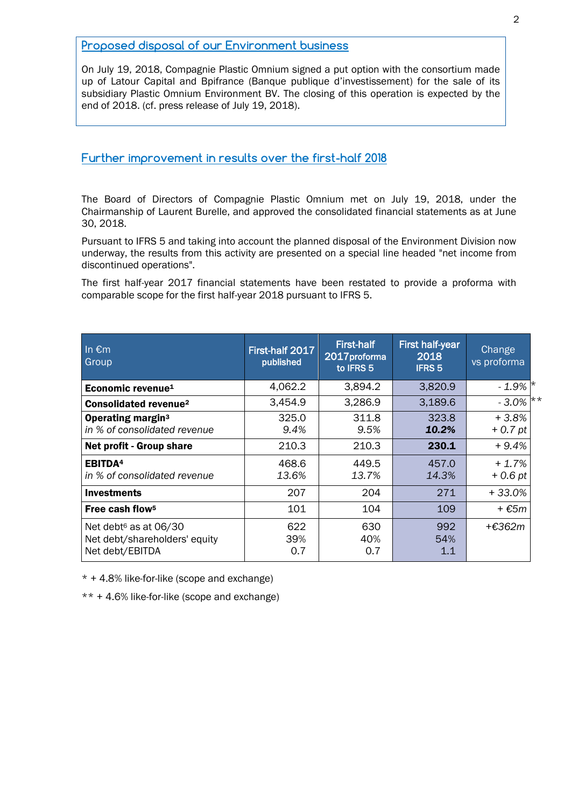### **Proposed disposal of our Environment business**

On July 19, 2018, Compagnie Plastic Omnium signed a put option with the consortium made up of Latour Capital and Bpifrance (Banque publique d'investissement) for the sale of its subsidiary Plastic Omnium Environment BV. The closing of this operation is expected by the end of 2018. (cf. press release of July 19, 2018).

### **Further improvement in results over the first-half 2018**

The Board of Directors of Compagnie Plastic Omnium met on July 19, 2018, under the Chairmanship of Laurent Burelle, and approved the consolidated financial statements as at June 30, 2018.

Pursuant to IFRS 5 and taking into account the planned disposal of the Environment Division now underway, the results from this activity are presented on a special line headed "net income from discontinued operations".

The first half-year 2017 financial statements have been restated to provide a proforma with comparable scope for the first half-year 2018 pursuant to IFRS 5.

| In $\overline{\epsilon}$ m<br>Group                                                   | First-half 2017<br>published | <b>First-half</b><br>2017proforma<br>to IFRS 5 | <b>First half-year</b><br>2018<br><b>IFRS 5</b> | Change<br>vs proforma |
|---------------------------------------------------------------------------------------|------------------------------|------------------------------------------------|-------------------------------------------------|-----------------------|
| Economic revenue <sup>1</sup>                                                         | 4,062.2                      | 3,894.2                                        | 3,820.9                                         | $-1.9\%$ $\vert$ *    |
| <b>Consolidated revenue<sup>2</sup></b>                                               | 3,454.9                      | 3,286.9                                        | 3,189.6                                         | $-3.0\%$ **           |
| <b>Operating margin<sup>3</sup></b><br>in % of consolidated revenue                   | 325.0<br>9.4%                | 311.8<br>9.5%                                  | 323.8<br>10.2%                                  | $+3.8%$<br>$+0.7$ pt  |
| Net profit - Group share                                                              | 210.3                        | 210.3                                          | 230.1                                           | $+9.4\%$              |
| <b>EBITDA4</b><br>in % of consolidated revenue                                        | 468.6<br>13.6%               | 449.5<br>13.7%                                 | 457.0<br>14.3%                                  | $+1.7\%$<br>$+0.6$ pt |
| <b>Investments</b>                                                                    | 207                          | 204                                            | 271                                             | +33.0%                |
| Free cash flow <sup>5</sup>                                                           | 101                          | 104                                            | 109                                             | $+ \epsilon$ 5m       |
| Net debt <sup>6</sup> as at 06/30<br>Net debt/shareholders' equity<br>Net debt/EBITDA | 622<br>39%<br>0.7            | 630<br>40%<br>0.7                              | 992<br>54%<br>1.1                               | +€362m                |

\* + 4.8% like-for-like (scope and exchange)

\*\* + 4.6% like-for-like (scope and exchange)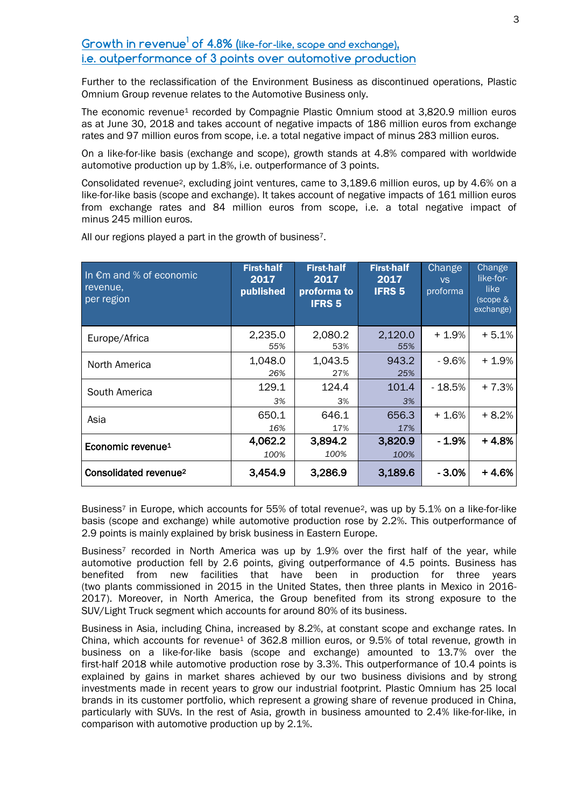## **Growth in revenue<sup>1</sup> of 4.8% (like-for-like, scope and exchange), i.e. outperformance of 3 points over automotive production**

Further to the reclassification of the Environment Business as discontinued operations, Plastic Omnium Group revenue relates to the Automotive Business only.

The economic revenue<sup>1</sup> recorded by Compagnie Plastic Omnium stood at 3,820.9 million euros as at June 30, 2018 and takes account of negative impacts of 186 million euros from exchange rates and 97 million euros from scope, i.e. a total negative impact of minus 283 million euros.

On a like-for-like basis (exchange and scope), growth stands at 4.8% compared with worldwide automotive production up by 1.8%, i.e. outperformance of 3 points.

Consolidated revenue2, excluding joint ventures, came to 3,189.6 million euros, up by 4.6% on a like-for-like basis (scope and exchange). It takes account of negative impacts of 161 million euros from exchange rates and 84 million euros from scope, i.e. a total negative impact of minus 245 million euros.

| In $\epsilon$ m and % of economic<br>revenue.<br>per region | <b>First-half</b><br>2017<br>published | <b>First-half</b><br>2017<br>proforma to<br><b>IFRS 5</b> | <b>First-half</b><br>2017<br><b>IFRS 5</b> | <b>Change</b><br><b>VS</b><br>proforma | Change<br>like-for-<br>like<br>(scope &<br>exchange) |
|-------------------------------------------------------------|----------------------------------------|-----------------------------------------------------------|--------------------------------------------|----------------------------------------|------------------------------------------------------|
| Europe/Africa                                               | 2,235.0<br>55%                         | 2,080.2<br>53%                                            | 2,120.0<br>55%                             | $+1.9%$                                | $+5.1%$                                              |
| North America                                               | 1,048.0<br>26%                         | 1,043.5<br>27%                                            | 943.2<br>25%                               | - 9.6%                                 | $+1.9%$                                              |
| South America                                               | 129.1<br>3%                            | 124.4<br>3%                                               | 101.4<br>3%                                | - 18.5%                                | $+7.3%$                                              |
| Asia                                                        | 650.1<br>16%                           | 646.1<br>17%                                              | 656.3<br>17%                               | + 1.6%                                 | $+8.2%$                                              |
| Economic revenue <sup>1</sup>                               | 4,062.2<br>100%                        | 3,894.2<br>100%                                           | 3,820.9<br>100%                            | - 1.9%                                 | $+4.8%$                                              |
| Consolidated revenue <sup>2</sup>                           | 3,454.9                                | 3,286.9                                                   | 3,189.6                                    | $-3.0%$                                | $+4.6%$                                              |

All our regions played a part in the growth of business<sup>7</sup>.

Business<sup>7</sup> in Europe, which accounts for 55% of total revenue<sup>2</sup>, was up by 5.1% on a like-for-like basis (scope and exchange) while automotive production rose by 2.2%. This outperformance of 2.9 points is mainly explained by brisk business in Eastern Europe.

Business<sup>7</sup> recorded in North America was up by 1.9% over the first half of the year, while automotive production fell by 2.6 points, giving outperformance of 4.5 points. Business has benefited from new facilities that have been in production for three years (two plants commissioned in 2015 in the United States, then three plants in Mexico in 2016- 2017). Moreover, in North America, the Group benefited from its strong exposure to the SUV/Light Truck segment which accounts for around 80% of its business.

Business in Asia, including China, increased by 8.2%, at constant scope and exchange rates. In China, which accounts for revenue<sup>1</sup> of 362.8 million euros, or 9.5% of total revenue, growth in business on a like-for-like basis (scope and exchange) amounted to 13.7% over the first-half 2018 while automotive production rose by 3.3%. This outperformance of 10.4 points is explained by gains in market shares achieved by our two business divisions and by strong investments made in recent years to grow our industrial footprint. Plastic Omnium has 25 local brands in its customer portfolio, which represent a growing share of revenue produced in China, particularly with SUVs. In the rest of Asia, growth in business amounted to 2.4% like-for-like, in comparison with automotive production up by 2.1%.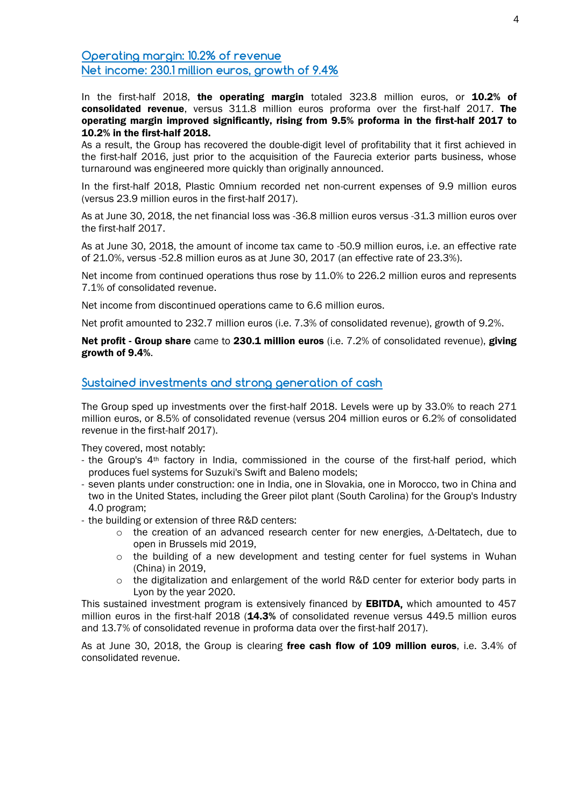**Operating margin: 10.2% of revenue Net income: 230.1 million euros, growth of 9.4%**

In the first-half 2018, the operating margin totaled 323.8 million euros, or 10.2% of consolidated revenue, versus 311.8 million euros proforma over the first-half 2017. The operating margin improved significantly, rising from 9.5% proforma in the first-half 2017 to 10.2% in the first-half 2018.

As a result, the Group has recovered the double-digit level of profitability that it first achieved in the first-half 2016, just prior to the acquisition of the Faurecia exterior parts business, whose turnaround was engineered more quickly than originally announced.

In the first-half 2018, Plastic Omnium recorded net non-current expenses of 9.9 million euros (versus 23.9 million euros in the first-half 2017).

As at June 30, 2018, the net financial loss was -36.8 million euros versus -31.3 million euros over the first-half 2017.

As at June 30, 2018, the amount of income tax came to -50.9 million euros, i.e. an effective rate of 21.0%, versus -52.8 million euros as at June 30, 2017 (an effective rate of 23.3%).

Net income from continued operations thus rose by 11.0% to 226.2 million euros and represents 7.1% of consolidated revenue.

Net income from discontinued operations came to 6.6 million euros.

Net profit amounted to 232.7 million euros (i.e. 7.3% of consolidated revenue), growth of 9.2%.

Net profit - Group share came to 230.1 million euros (i.e. 7.2% of consolidated revenue), giving growth of 9.4%.

### **Sustained investments and strong generation of cash**

The Group sped up investments over the first-half 2018. Levels were up by 33.0% to reach 271 million euros, or 8.5% of consolidated revenue (versus 204 million euros or 6.2% of consolidated revenue in the first-half 2017).

They covered, most notably:

- the Group's  $4<sup>th</sup>$  factory in India, commissioned in the course of the first-half period, which produces fuel systems for Suzuki's Swift and Baleno models;
- seven plants under construction: one in India, one in Slovakia, one in Morocco, two in China and two in the United States, including the Greer pilot plant (South Carolina) for the Group's Industry 4.0 program;
- the building or extension of three R&D centers:
	- o the creation of an advanced research center for new energies, Δ-Deltatech, due to open in Brussels mid 2019,
	- o the building of a new development and testing center for fuel systems in Wuhan (China) in 2019,
	- o the digitalization and enlargement of the world R&D center for exterior body parts in Lyon by the year 2020.

This sustained investment program is extensively financed by EBITDA, which amounted to 457 million euros in the first-half 2018 (14.3% of consolidated revenue versus 449.5 million euros and 13.7% of consolidated revenue in proforma data over the first-half 2017).

As at June 30, 2018, the Group is clearing free cash flow of 109 million euros, i.e. 3.4% of consolidated revenue.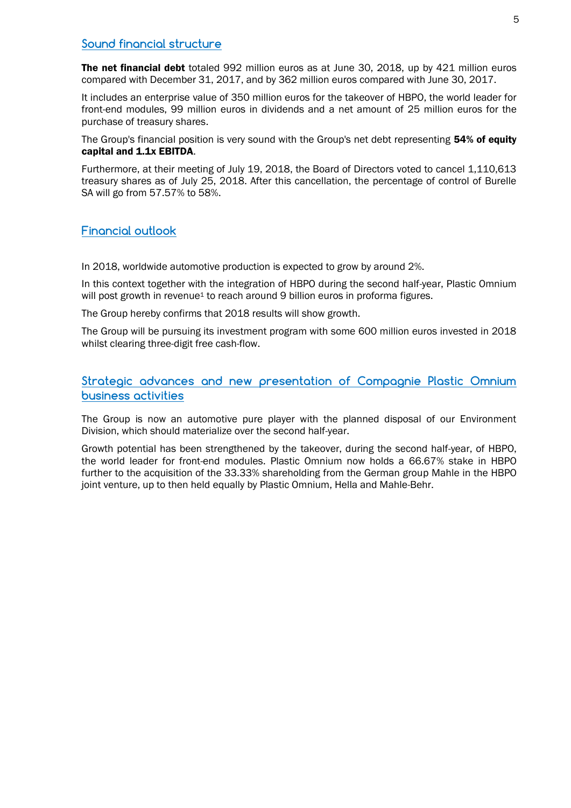### **Sound financial structure**

The net financial debt totaled 992 million euros as at June 30, 2018, up by 421 million euros compared with December 31, 2017, and by 362 million euros compared with June 30, 2017.

It includes an enterprise value of 350 million euros for the takeover of HBPO, the world leader for front-end modules, 99 million euros in dividends and a net amount of 25 million euros for the purchase of treasury shares.

The Group's financial position is very sound with the Group's net debt representing 54% of equity capital and 1.1x EBITDA.

Furthermore, at their meeting of July 19, 2018, the Board of Directors voted to cancel 1,110,613 treasury shares as of July 25, 2018. After this cancellation, the percentage of control of Burelle SA will go from 57.57% to 58%.

### **Financial outlook**

In 2018, worldwide automotive production is expected to grow by around 2%.

In this context together with the integration of HBPO during the second half-year, Plastic Omnium will post growth in revenue<sup>1</sup> to reach around 9 billion euros in proforma figures.

The Group hereby confirms that 2018 results will show growth.

The Group will be pursuing its investment program with some 600 million euros invested in 2018 whilst clearing three-digit free cash-flow.

### **Strategic advances and new presentation of Compagnie Plastic Omnium business activities**

The Group is now an automotive pure player with the planned disposal of our Environment Division, which should materialize over the second half-year.

Growth potential has been strengthened by the takeover, during the second half-year, of HBPO, the world leader for front-end modules. Plastic Omnium now holds a 66.67% stake in HBPO further to the acquisition of the 33.33% shareholding from the German group Mahle in the HBPO joint venture, up to then held equally by Plastic Omnium, Hella and Mahle-Behr.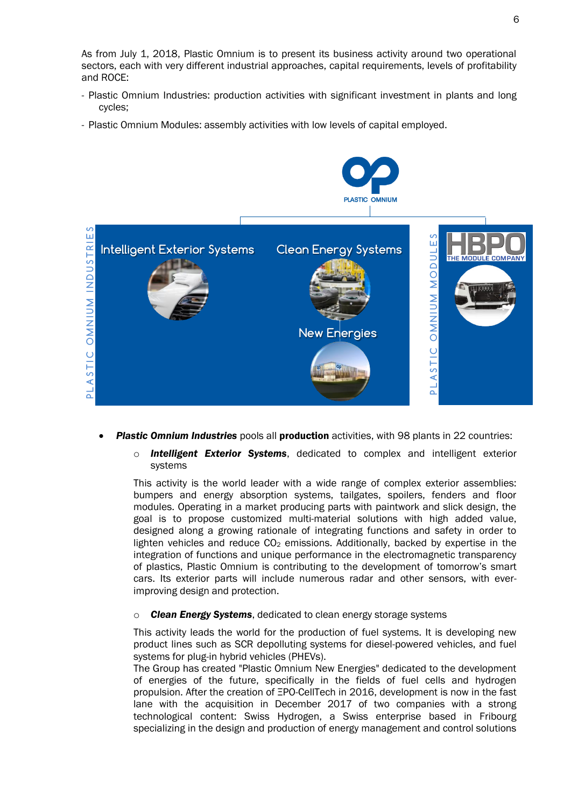As from July 1, 2018, Plastic Omnium is to present its business activity around two operational sectors, each with very different industrial approaches, capital requirements, levels of profitability and ROCE:

- Plastic Omnium Industries: production activities with significant investment in plants and long cycles;
- Plastic Omnium Modules: assembly activities with low levels of capital employed.



- **Plastic Omnium Industries** pools all **production** activities, with 98 plants in 22 countries:
	- o *Intelligent Exterior Systems*, dedicated to complex and intelligent exterior systems

This activity is the world leader with a wide range of complex exterior assemblies: bumpers and energy absorption systems, tailgates, spoilers, fenders and floor modules. Operating in a market producing parts with paintwork and slick design, the goal is to propose customized multi-material solutions with high added value, designed along a growing rationale of integrating functions and safety in order to lighten vehicles and reduce  $CO<sub>2</sub>$  emissions. Additionally, backed by expertise in the integration of functions and unique performance in the electromagnetic transparency of plastics, Plastic Omnium is contributing to the development of tomorrow's smart cars. Its exterior parts will include numerous radar and other sensors, with everimproving design and protection.

### o *Clean Energy Systems*, dedicated to clean energy storage systems

This activity leads the world for the production of fuel systems. It is developing new product lines such as SCR depolluting systems for diesel-powered vehicles, and fuel systems for plug-in hybrid vehicles (PHEVs).

The Group has created "Plastic Omnium New Energies" dedicated to the development of energies of the future, specifically in the fields of fuel cells and hydrogen propulsion. After the creation of ΞPO-CellTech in 2016, development is now in the fast lane with the acquisition in December 2017 of two companies with a strong technological content: Swiss Hydrogen, a Swiss enterprise based in Fribourg specializing in the design and production of energy management and control solutions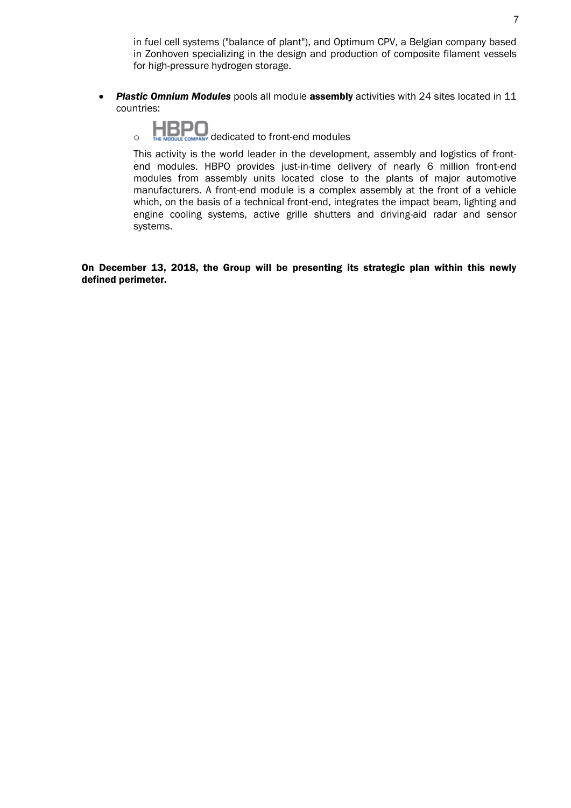in fuel cell systems ("balance of plant"), and Optimum CPV, a Belgian company based in Zonhoven specializing in the design and production of composite filament vessels for high-pressure hydrogen storage.

- *Plastic Omnium Modules* pools all module assembly activities with 24 sites located in 11 countries:
	- $\overline{O}$  dedicated to front-end modules

This activity is the world leader in the development, assembly and logistics of frontend modules. HBPO provides just-in-time delivery of nearly 6 million front-end modules from assembly units located close to the plants of major automotive manufacturers. A front-end module is a complex assembly at the front of a vehicle which, on the basis of a technical front-end, integrates the impact beam, lighting and engine cooling systems, active grille shutters and driving-aid radar and sensor systems.

On December 13, 2018, the Group will be presenting its strategic plan within this newly defined perimeter.